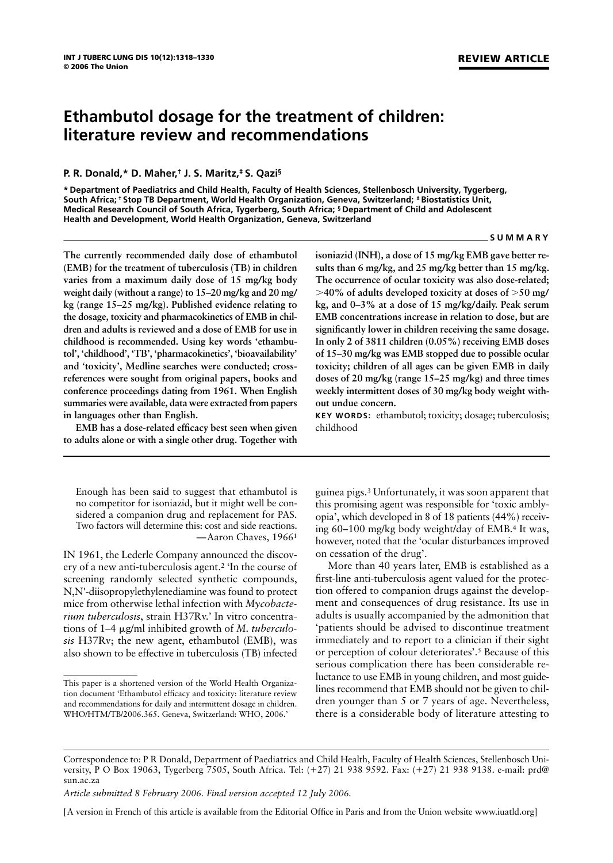# **Ethambutol dosage for the treatment of children: literature review and recommendations**

# **P. R. Donald,\* D. Maher,† J. S. Maritz,‡ S. Qazi§**

**\* Department of Paediatrics and Child Health, Faculty of Health Sciences, Stellenbosch University, Tygerberg, South Africa; † Stop TB Department, World Health Organization, Geneva, Switzerland; ‡ Biostatistics Unit, Medical Research Council of South Africa, Tygerberg, South Africa; § Department of Child and Adolescent Health and Development, World Health Organization, Geneva, Switzerland**

#### **SUMMARY**

**REVIEW ARTICLE**

**The currently recommended daily dose of ethambutol (EMB) for the treatment of tuberculosis (TB) in children varies from a maximum daily dose of 15 mg/kg body weight daily (without a range) to 15–20 mg/kg and 20 mg/ kg (range 15–25 mg/kg). Published evidence relating to the dosage, toxicity and pharmacokinetics of EMB in children and adults is reviewed and a dose of EMB for use in childhood is recommended. Using key words 'ethambutol', 'childhood', 'TB', 'pharmacokinetics', 'bioavailability' and 'toxicity', Medline searches were conducted; crossreferences were sought from original papers, books and conference proceedings dating from 1961. When English summaries were available, data were extracted from papers in languages other than English.**

**EMB has a dose-related efficacy best seen when given to adults alone or with a single other drug. Together with**

Enough has been said to suggest that ethambutol is no competitor for isoniazid, but it might well be considered a companion drug and replacement for PAS. Two factors will determine this: cost and side reactions. —Aaron Chaves, 19661

IN 1961, the Lederle Company announced the discovery of a new anti-tuberculosis agent.2 'In the course of screening randomly selected synthetic compounds, N,N'-diisopropylethylenediamine was found to protect mice from otherwise lethal infection with *Mycobacterium tuberculosis*, strain H37Rv.' In vitro concentrations of 1–4 g/ml inhibited growth of *M. tuberculosis* H37Rv; the new agent, ethambutol (EMB), was also shown to be effective in tuberculosis (TB) infected

**isoniazid (INH), a dose of 15 mg/kg EMB gave better results than 6 mg/kg, and 25 mg/kg better than 15 mg/kg. The occurrence of ocular toxicity was also dose-related;**  $>$ 40% of adults developed toxicity at doses of  $>$ 50 mg/ **kg, and 0–3% at a dose of 15 mg/kg/daily. Peak serum EMB concentrations increase in relation to dose, but are significantly lower in children receiving the same dosage. In only 2 of 3811 children (0.05%) receiving EMB doses of 15–30 mg/kg was EMB stopped due to possible ocular toxicity; children of all ages can be given EMB in daily doses of 20 mg/kg (range 15–25 mg/kg) and three times weekly intermittent doses of 30 mg/kg body weight without undue concern.**

**KEY WORDS:** ethambutol; toxicity; dosage; tuberculosis; childhood

guinea pigs.3 Unfortunately, it was soon apparent that this promising agent was responsible for 'toxic amblyopia', which developed in 8 of 18 patients (44%) receiving 60–100 mg/kg body weight/day of EMB.4 It was, however, noted that the 'ocular disturbances improved on cessation of the drug'.

More than 40 years later, EMB is established as a first-line anti-tuberculosis agent valued for the protection offered to companion drugs against the development and consequences of drug resistance. Its use in adults is usually accompanied by the admonition that 'patients should be advised to discontinue treatment immediately and to report to a clinician if their sight or perception of colour deteriorates'.5 Because of this serious complication there has been considerable reluctance to use EMB in young children, and most guidelines recommend that EMB should not be given to children younger than 5 or 7 years of age. Nevertheless, there is a considerable body of literature attesting to

This paper is a shortened version of the World Health Organization document 'Ethambutol efficacy and toxicity: literature review and recommendations for daily and intermittent dosage in children. WHO/HTM/TB/2006.365. Geneva, Switzerland: WHO, 2006.'

Correspondence to: P R Donald, Department of Paediatrics and Child Health, Faculty of Health Sciences, Stellenbosch University, P O Box 19063, Tygerberg 7505, South Africa. Tel: (+27) 21 938 9592. Fax: (+27) 21 938 9138. e-mail: prd@ sun.ac.za

*Article submitted 8 February 2006. Final version accepted 12 July 2006.*

<sup>[</sup>A version in French of this article is available from the Editorial Office in Paris and from the Union website www.iuatld.org]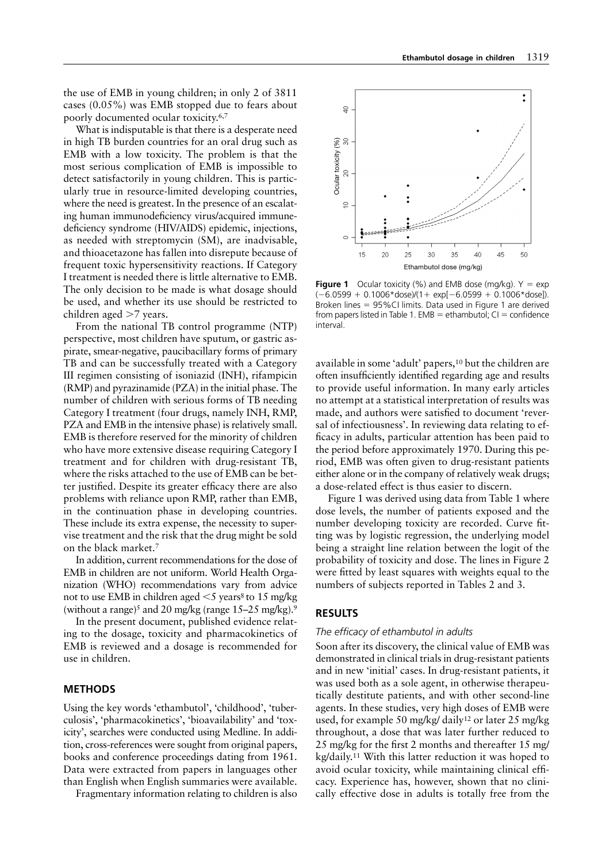the use of EMB in young children; in only 2 of 3811 cases (0.05%) was EMB stopped due to fears about poorly documented ocular toxicity.6,7

What is indisputable is that there is a desperate need in high TB burden countries for an oral drug such as EMB with a low toxicity. The problem is that the most serious complication of EMB is impossible to detect satisfactorily in young children. This is particularly true in resource-limited developing countries, where the need is greatest. In the presence of an escalating human immunodeficiency virus/acquired immunedeficiency syndrome (HIV/AIDS) epidemic, injections, as needed with streptomycin (SM), are inadvisable, and thioacetazone has fallen into disrepute because of frequent toxic hypersensitivity reactions. If Category I treatment is needed there is little alternative to EMB. The only decision to be made is what dosage should be used, and whether its use should be restricted to children aged >7 years.

From the national TB control programme (NTP) perspective, most children have sputum, or gastric aspirate, smear-negative, paucibacillary forms of primary TB and can be successfully treated with a Category III regimen consisting of isoniazid (INH), rifampicin (RMP) and pyrazinamide (PZA) in the initial phase. The number of children with serious forms of TB needing Category I treatment (four drugs, namely INH, RMP, PZA and EMB in the intensive phase) is relatively small. EMB is therefore reserved for the minority of children who have more extensive disease requiring Category I treatment and for children with drug-resistant TB, where the risks attached to the use of EMB can be better justified. Despite its greater efficacy there are also problems with reliance upon RMP, rather than EMB, in the continuation phase in developing countries. These include its extra expense, the necessity to supervise treatment and the risk that the drug might be sold on the black market.7

In addition, current recommendations for the dose of EMB in children are not uniform. World Health Organization (WHO) recommendations vary from advice not to use EMB in children aged  $\leq$  years<sup>8</sup> to 15 mg/kg (without a range)<sup>5</sup> and 20 mg/kg (range  $15-25$  mg/kg).<sup>9</sup>

In the present document, published evidence relating to the dosage, toxicity and pharmacokinetics of EMB is reviewed and a dosage is recommended for use in children.

# **METHODS**

Using the key words 'ethambutol', 'childhood', 'tuberculosis', 'pharmacokinetics', 'bioavailability' and 'toxicity', searches were conducted using Medline. In addition, cross-references were sought from original papers, books and conference proceedings dating from 1961. Data were extracted from papers in languages other than English when English summaries were available.

Fragmentary information relating to children is also



**Figure 1** Ocular toxicity (%) and EMB dose (mg/kg).  $Y = exp$  $(-6.0599 + 0.1006*$ dose)/(1 + exp[-6.0599 + 0.1006\*dose]). Broken lines 95%CI limits. Data used in Figure 1 are derived from papers listed in Table 1. EMB = ethambutol;  $CI =$  confidence interval.

available in some 'adult' papers,10 but the children are often insufficiently identified regarding age and results to provide useful information. In many early articles no attempt at a statistical interpretation of results was made, and authors were satisfied to document 'reversal of infectiousness'. In reviewing data relating to efficacy in adults, particular attention has been paid to the period before approximately 1970. During this period, EMB was often given to drug-resistant patients either alone or in the company of relatively weak drugs; a dose-related effect is thus easier to discern.

Figure 1 was derived using data from Table 1 where dose levels, the number of patients exposed and the number developing toxicity are recorded. Curve fitting was by logistic regression, the underlying model being a straight line relation between the logit of the probability of toxicity and dose. The lines in Figure 2 were fitted by least squares with weights equal to the numbers of subjects reported in Tables 2 and 3.

## **RESULTS**

## *The efficacy of ethambutol in adults*

Soon after its discovery, the clinical value of EMB was demonstrated in clinical trials in drug-resistant patients and in new 'initial' cases. In drug-resistant patients, it was used both as a sole agent, in otherwise therapeutically destitute patients, and with other second-line agents. In these studies, very high doses of EMB were used, for example 50 mg/kg/ daily12 or later 25 mg/kg throughout, a dose that was later further reduced to 25 mg/kg for the first 2 months and thereafter 15 mg/ kg/daily.11 With this latter reduction it was hoped to avoid ocular toxicity, while maintaining clinical efficacy. Experience has, however, shown that no clinically effective dose in adults is totally free from the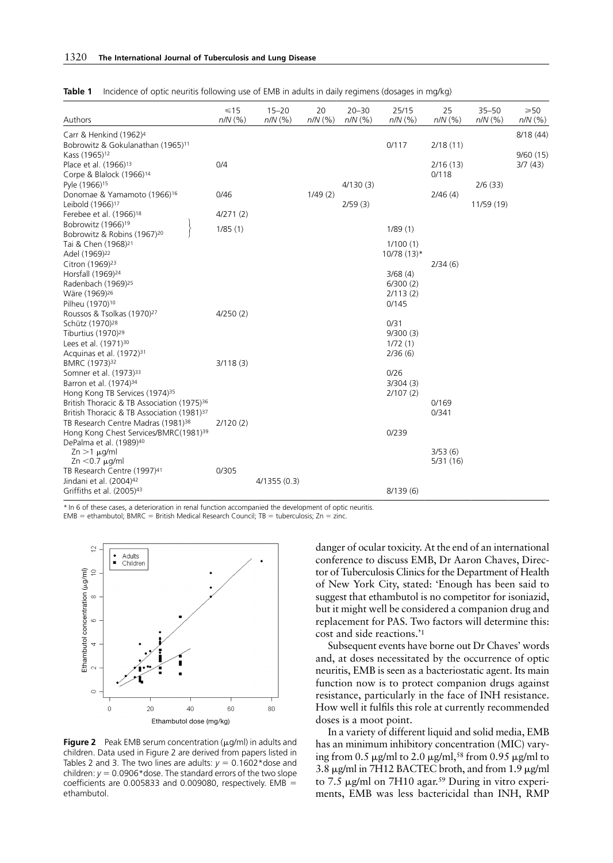| Authors                                                                                                  | $\leq 15$<br>$n/N$ (%) | $15 - 20$<br>$n/N$ (%) | 20<br>$n/N$ $(%)$ | $20 - 30$<br>$n/N$ (%) | 25/15<br>$n/N$ (%) | 25<br>$n/N$ (%)   | $35 - 50$<br>$n/N$ (%) | $\geqslant 50$<br>$n/N$ (%) |
|----------------------------------------------------------------------------------------------------------|------------------------|------------------------|-------------------|------------------------|--------------------|-------------------|------------------------|-----------------------------|
| Carr & Henkind (1962) <sup>4</sup>                                                                       |                        |                        |                   |                        |                    |                   |                        | 8/18 (44)                   |
| Bobrowitz & Gokulanathan (1965) <sup>11</sup>                                                            |                        |                        |                   |                        | 0/117              | 2/18(11)          |                        |                             |
| Kass (1965) <sup>12</sup>                                                                                | 0/4                    |                        |                   |                        |                    |                   |                        | 9/60(15)                    |
| Place et al. (1966) <sup>13</sup><br>Corpe & Blalock (1966) <sup>14</sup>                                |                        |                        |                   |                        |                    | 2/16(13)<br>0/118 |                        | 3/7(43)                     |
| Pyle (1966) <sup>15</sup>                                                                                |                        |                        |                   | 4/130(3)               |                    |                   | 2/6(33)                |                             |
| Donomae & Yamamoto (1966) <sup>16</sup>                                                                  | 0/46                   |                        | 1/49(2)           |                        |                    | 2/46(4)           |                        |                             |
| Leibold (1966) <sup>17</sup>                                                                             |                        |                        |                   | 2/59(3)                |                    |                   | 11/59 (19)             |                             |
| Ferebee et al. (1966) <sup>18</sup>                                                                      | 4/271(2)               |                        |                   |                        |                    |                   |                        |                             |
| Bobrowitz (1966) <sup>19</sup><br>Bobrowitz & Robins (1967) <sup>20</sup>                                | 1/85(1)                |                        |                   |                        | 1/89(1)            |                   |                        |                             |
| Tai & Chen (1968) <sup>21</sup>                                                                          |                        |                        |                   |                        | 1/100(1)           |                   |                        |                             |
| Adel (1969) <sup>22</sup>                                                                                |                        |                        |                   |                        | $10/78(13)*$       |                   |                        |                             |
| Citron (1969) <sup>23</sup>                                                                              |                        |                        |                   |                        |                    | 2/34(6)           |                        |                             |
| Horsfall (1969) <sup>24</sup>                                                                            |                        |                        |                   |                        | 3/68(4)            |                   |                        |                             |
| Radenbach (1969) <sup>25</sup>                                                                           |                        |                        |                   |                        | 6/300(2)           |                   |                        |                             |
| Wäre (1969) <sup>26</sup>                                                                                |                        |                        |                   |                        | 2/113(2)           |                   |                        |                             |
| Pilheu (1970) <sup>10</sup><br>Roussos & Tsolkas (1970) <sup>27</sup>                                    | 4/250(2)               |                        |                   |                        | 0/145              |                   |                        |                             |
| Schütz (1970) <sup>28</sup>                                                                              |                        |                        |                   |                        | 0/31               |                   |                        |                             |
| Tiburtius (1970) <sup>29</sup>                                                                           |                        |                        |                   |                        | 9/300(3)           |                   |                        |                             |
| Lees et al. (1971) <sup>30</sup>                                                                         |                        |                        |                   |                        | 1/72(1)            |                   |                        |                             |
| Acquinas et al. (1972) <sup>31</sup>                                                                     |                        |                        |                   |                        | 2/36(6)            |                   |                        |                             |
| BMRC (1973) <sup>32</sup>                                                                                | 3/118(3)               |                        |                   |                        |                    |                   |                        |                             |
| Somner et al. (1973) <sup>33</sup>                                                                       |                        |                        |                   |                        | 0/26               |                   |                        |                             |
| Barron et al. (1974) <sup>34</sup>                                                                       |                        |                        |                   |                        | 3/304(3)           |                   |                        |                             |
| Hong Kong TB Services (1974) <sup>35</sup>                                                               |                        |                        |                   |                        | 2/107(2)           |                   |                        |                             |
| British Thoracic & TB Association (1975) <sup>36</sup>                                                   |                        |                        |                   |                        |                    | 0/169             |                        |                             |
| British Thoracic & TB Association (1981) <sup>37</sup><br>TB Research Centre Madras (1981) <sup>38</sup> | 2/120(2)               |                        |                   |                        |                    | 0/341             |                        |                             |
| Hong Kong Chest Services/BMRC(1981) <sup>39</sup>                                                        |                        |                        |                   |                        | 0/239              |                   |                        |                             |
| DePalma et al. (1989) <sup>40</sup>                                                                      |                        |                        |                   |                        |                    |                   |                        |                             |
| $Zn > 1$ $\mu$ g/ml                                                                                      |                        |                        |                   |                        |                    | 3/53(6)           |                        |                             |
| $Zn < 0.7 \mu g/ml$                                                                                      |                        |                        |                   |                        |                    | 5/31(16)          |                        |                             |
| TB Research Centre (1997) <sup>41</sup>                                                                  | 0/305                  |                        |                   |                        |                    |                   |                        |                             |
| Jindani et al. (2004) <sup>42</sup>                                                                      |                        | 4/1355(0.3)            |                   |                        |                    |                   |                        |                             |
| Griffiths et al. (2005) <sup>43</sup>                                                                    |                        |                        |                   |                        | 8/139(6)           |                   |                        |                             |

**Table 1** Incidence of optic neuritis following use of EMB in adults in daily regimens (dosages in mg/kg)

\* In 6 of these cases, a deterioration in renal function accompanied the development of optic neuritis.

 $EMB =$  ethambutol; BMRC = British Medical Research Council; TB = tuberculosis; Zn = zinc.



**Figure 2** Peak EMB serum concentration  $(\mu q/ml)$  in adults and children. Data used in Figure 2 are derived from papers listed in Tables 2 and 3. The two lines are adults:  $y = 0.1602*$  dose and children:  $y = 0.0906*$  dose. The standard errors of the two slope coefficients are 0.005833 and 0.009080, respectively.  $EMB =$ ethambutol.

danger of ocular toxicity. At the end of an international conference to discuss EMB, Dr Aaron Chaves, Director of Tuberculosis Clinics for the Department of Health of New York City, stated: 'Enough has been said to suggest that ethambutol is no competitor for isoniazid, but it might well be considered a companion drug and replacement for PAS. Two factors will determine this: cost and side reactions.'1

Subsequent events have borne out Dr Chaves' words and, at doses necessitated by the occurrence of optic neuritis, EMB is seen as a bacteriostatic agent. Its main function now is to protect companion drugs against resistance, particularly in the face of INH resistance. How well it fulfils this role at currently recommended doses is a moot point.

In a variety of different liquid and solid media, EMB has an minimum inhibitory concentration (MIC) varying from 0.5  $\mu$ g/ml to 2.0  $\mu$ g/ml,<sup>58</sup> from 0.95  $\mu$ g/ml to 3.8  $\mu$ g/ml in 7H12 BACTEC broth, and from 1.9  $\mu$ g/ml to 7.5  $\mu$ g/ml on 7H10 agar.<sup>59</sup> During in vitro experiments, EMB was less bactericidal than INH, RMP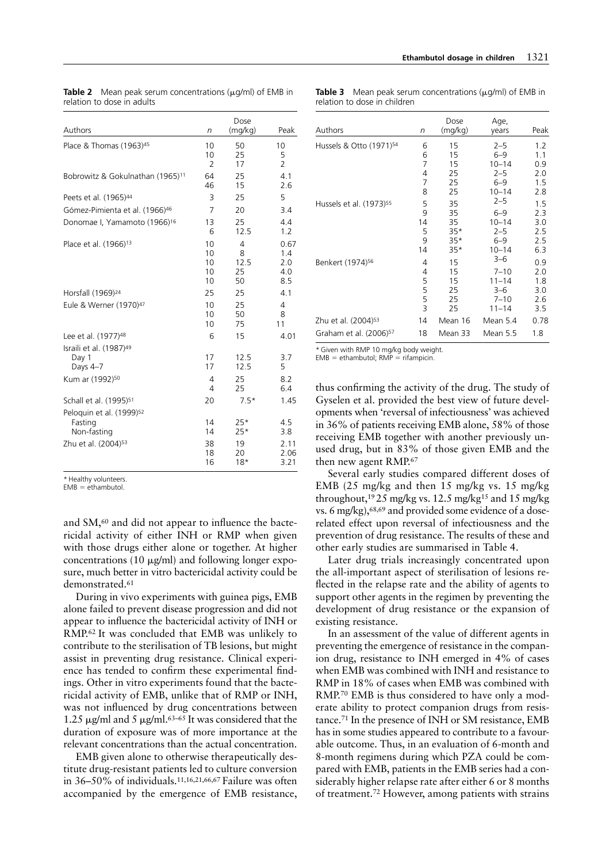Age,

| Authors                                                        | n                          | Dose<br>(mq/kg)            | Peak                             |
|----------------------------------------------------------------|----------------------------|----------------------------|----------------------------------|
| Place & Thomas (1963) <sup>45</sup>                            | 10<br>10<br>$\overline{2}$ | 50<br>25<br>17             | 10<br>5<br>$\overline{2}$        |
| Bobrowitz & Gokulnathan (1965) <sup>11</sup>                   | 64<br>46                   | 25<br>15                   | 4.1<br>2.6                       |
| Peets et al. (1965) <sup>44</sup>                              | 3                          | 25                         | 5                                |
| Gómez-Pimienta et al. (1966) <sup>46</sup>                     | $\overline{7}$             | 20                         | 3.4                              |
| Donomae I, Yamamoto (1966) <sup>16</sup>                       | 13<br>6                    | 25<br>12.5                 | 4.4<br>1.2                       |
| Place et al. (1966) <sup>13</sup>                              | 10<br>10<br>10<br>10<br>10 | 4<br>8<br>12.5<br>25<br>50 | 0.67<br>1.4<br>2.0<br>4.0<br>8.5 |
| Horsfall (1969) <sup>24</sup>                                  | 25                         | 25                         | 4.1                              |
| Eule & Werner (1970) <sup>47</sup>                             | 10<br>10<br>10             | 25<br>50<br>75             | 4<br>8<br>11                     |
| Lee et al. (1977) <sup>48</sup>                                | 6                          | 15                         | 4.01                             |
| Israili et al. (1987) <sup>49</sup><br>Day 1<br>Days 4-7       | 17<br>17                   | 12.5<br>12.5               | 3.7<br>5                         |
| Kum ar (1992) <sup>50</sup>                                    | 4<br>$\overline{4}$        | 25<br>25                   | 8.2<br>6.4                       |
| Schall et al. (1995) <sup>51</sup>                             | 20                         | $7.5*$                     | 1.45                             |
| Peloquin et al. (1999) <sup>52</sup><br>Fasting<br>Non-fasting | 14<br>14                   | $25*$<br>$25*$             | 4.5<br>3.8                       |
| Zhu et al. (2004) <sup>53</sup>                                | 38<br>18<br>16             | 19<br>20<br>$18*$          | 2.11<br>2.06<br>3.21             |

|                            |  | <b>Table 2</b> Mean peak serum concentrations ( $\mu$ g/ml) of EMB in |  |  |
|----------------------------|--|-----------------------------------------------------------------------|--|--|
| relation to dose in adults |  |                                                                       |  |  |

**Table 3** Mean peak serum concentrations  $(\mu q/ml)$  of EMB in relation to dose in children

Dose

| Authors                             | n  | (mq/kg) | years     | Peak |
|-------------------------------------|----|---------|-----------|------|
| Hussels & Otto (1971) <sup>54</sup> | 6  | 15      | $2 - 5$   | 1.2  |
|                                     | 6  | 15      | $6 - 9$   | 1.1  |
|                                     | 7  | 15      | $10 - 14$ | 0.9  |
|                                     | 4  | 25      | $2 - 5$   | 2.0  |
|                                     | 7  | 25      | $6 - 9$   | 1.5  |
|                                     | 8  | 25      | $10 - 14$ | 2.8  |
| Hussels et al. (1973) <sup>55</sup> | 5  | 35      | $2 - 5$   | 1.5  |
|                                     | 9  | 35      | $6 - 9$   | 2.3  |
|                                     | 14 | 35      | $10 - 14$ | 3.0  |
|                                     | 5  | $35*$   | $2 - 5$   | 2.5  |
|                                     | 9  | $35*$   | $6 - 9$   | 2.5  |
|                                     | 14 | $35*$   | $10 - 14$ | 6.3  |
| Benkert (1974) <sup>56</sup>        | 4  | 15      | $3 - 6$   | 0.9  |
|                                     | 4  | 15      | $7 - 10$  | 2.0  |
|                                     | 5  | 15      | $11 - 14$ | 1.8  |
|                                     | 5  | 25      | $3 - 6$   | 3.0  |
|                                     | 5  | 25      | $7 - 10$  | 2.6  |
|                                     | 3  | 25      | $11 - 14$ | 3.5  |
| Zhu et al. (2004) <sup>53</sup>     | 14 | Mean 16 | Mean 5.4  | 0.78 |
| Graham et al. (2006) <sup>57</sup>  | 18 | Mean 33 | Mean 5.5  | 1.8  |
|                                     |    |         |           |      |

Given with RMP 10 mg/kg body weight.

 $FMR = 0$ ethambutol; RMP = rifampicin.

thus confirming the activity of the drug. The study of Gyselen et al. provided the best view of future developments when 'reversal of infectiousness' was achieved in 36% of patients receiving EMB alone, 58% of those receiving EMB together with another previously unused drug, but in 83% of those given EMB and the then new agent RMP.67

Several early studies compared different doses of EMB (25 mg/kg and then 15 mg/kg vs. 15 mg/kg throughout,19 25 mg/kg vs. 12.5 mg/kg15 and 15 mg/kg vs. 6 mg/kg),68,69 and provided some evidence of a doserelated effect upon reversal of infectiousness and the prevention of drug resistance. The results of these and other early studies are summarised in Table 4.

Later drug trials increasingly concentrated upon the all-important aspect of sterilisation of lesions reflected in the relapse rate and the ability of agents to support other agents in the regimen by preventing the development of drug resistance or the expansion of existing resistance.

In an assessment of the value of different agents in preventing the emergence of resistance in the companion drug, resistance to INH emerged in 4% of cases when EMB was combined with INH and resistance to RMP in 18% of cases when EMB was combined with RMP.70 EMB is thus considered to have only a moderate ability to protect companion drugs from resistance.71 In the presence of INH or SM resistance, EMB has in some studies appeared to contribute to a favourable outcome. Thus, in an evaluation of 6-month and 8-month regimens during which PZA could be compared with EMB, patients in the EMB series had a considerably higher relapse rate after either 6 or 8 months of treatment.72 However, among patients with strains

\* Healthy volunteers.

 $FMR = ethamhutol$ 

and SM,60 and did not appear to influence the bactericidal activity of either INH or RMP when given with those drugs either alone or together. At higher concentrations (10  $\mu$ g/ml) and following longer exposure, much better in vitro bactericidal activity could be demonstrated.61

During in vivo experiments with guinea pigs, EMB alone failed to prevent disease progression and did not appear to influence the bactericidal activity of INH or RMP.62 It was concluded that EMB was unlikely to contribute to the sterilisation of TB lesions, but might assist in preventing drug resistance. Clinical experience has tended to confirm these experimental findings. Other in vitro experiments found that the bactericidal activity of EMB, unlike that of RMP or INH, was not influenced by drug concentrations between 1.25  $\mu$ g/ml and 5  $\mu$ g/ml.<sup>63–65</sup> It was considered that the duration of exposure was of more importance at the relevant concentrations than the actual concentration.

EMB given alone to otherwise therapeutically destitute drug-resistant patients led to culture conversion in 36–50% of individuals.11,16,21,66,67 Failure was often accompanied by the emergence of EMB resistance,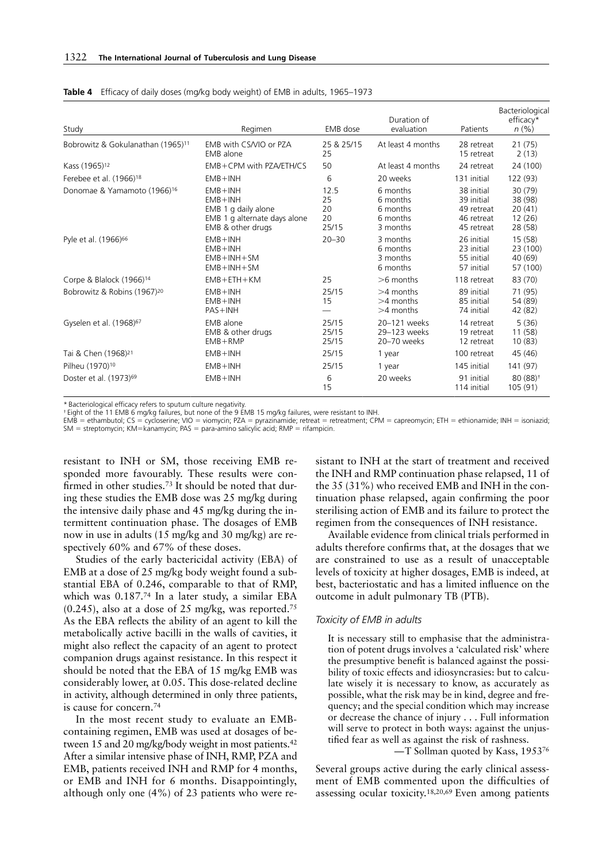| Study                                         | Regimen                                                                                                | EMB dose                        | Duration of<br>evaluation                                | Patients                                                           | Bacteriological<br>efficacy*<br>$n(\%)$          |
|-----------------------------------------------|--------------------------------------------------------------------------------------------------------|---------------------------------|----------------------------------------------------------|--------------------------------------------------------------------|--------------------------------------------------|
| Bobrowitz & Gokulanathan (1965) <sup>11</sup> | EMB with CS/VIO or PZA<br>EMB alone                                                                    | 25 & 25/15<br>25                | At least 4 months                                        | 28 retreat<br>15 retreat                                           | 21(75)<br>2(13)                                  |
| Kass (1965) <sup>12</sup>                     | $EMB + CPM$ with PZA/ETH/CS                                                                            | 50                              | At least 4 months                                        | 24 retreat                                                         | 24 (100)                                         |
| Ferebee et al. (1966) <sup>18</sup>           | $EMB + INH$                                                                                            | 6                               | 20 weeks                                                 | 131 initial                                                        | 122 (93)                                         |
| Donomae & Yamamoto (1966) <sup>16</sup>       | $EMB + INH$<br>$EMB + INH$<br>EMB 1 g daily alone<br>EMB 1 g alternate days alone<br>EMB & other drugs | 12.5<br>25<br>20<br>20<br>25/15 | 6 months<br>6 months<br>6 months<br>6 months<br>3 months | 38 initial<br>39 initial<br>49 retreat<br>46 retreat<br>45 retreat | 30(79)<br>38 (98)<br>20(41)<br>12(26)<br>28 (58) |
| Pyle et al. (1966) <sup>66</sup>              | $EMB + INH$<br>$EMB + INH$<br>$EMB + INH + SM$<br>$EMB + INH + SM$                                     | $20 - 30$                       | 3 months<br>6 months<br>3 months<br>6 months             | 26 initial<br>23 initial<br>55 initial<br>57 initial               | 15 (58)<br>23 (100)<br>40 (69)<br>57 (100)       |
| Corpe & Blalock (1966) <sup>14</sup>          | $EMB + ETH + KM$                                                                                       | 25                              | $>6$ months                                              | 118 retreat                                                        | 83 (70)                                          |
| Bobrowitz & Robins (1967) <sup>20</sup>       | $EMB + INH$<br>$EMB + INH$<br>$PAS + INH$                                                              | 25/15<br>15                     | $>4$ months<br>$>4$ months<br>$>4$ months                | 89 initial<br>85 initial<br>74 initial                             | 71 (95)<br>54 (89)<br>42 (82)                    |
| Gyselen et al. (1968) <sup>67</sup>           | EMB alone<br>EMB & other drugs<br>$EMB + RMP$                                                          | 25/15<br>25/15<br>25/15         | 20-121 weeks<br>29-123 weeks<br>20-70 weeks              | 14 retreat<br>19 retreat<br>12 retreat                             | 5(36)<br>11(58)<br>10(83)                        |
| Tai & Chen (1968) <sup>21</sup>               | $EMB + INH$                                                                                            | 25/15                           | 1 year                                                   | 100 retreat                                                        | 45 (46)                                          |
| Pilheu (1970) <sup>10</sup>                   | $EMB + INH$                                                                                            | 25/15                           | 1 year                                                   | 145 initial                                                        | 141 (97)                                         |
| Doster et al. (1973) <sup>69</sup>            | $EMB + INH$                                                                                            | 6<br>15                         | 20 weeks                                                 | 91 initial<br>114 initial                                          | $80(88)$ <sup>+</sup><br>105 (91)                |

#### **Table 4** Efficacy of daily doses (mg/kg body weight) of EMB in adults, 1965–1973

\* Bacteriological efficacy refers to sputum culture negativity.

† Eight of the 11 EMB 6 mg/kg failures, but none of the 9 EMB 15 mg/kg failures, were resistant to INH.

EMB = ethambutol; CS = cycloserine; VIO = viomycin; PZA = pyrazinamide; retreat = retreatment; CPM = capreomycin; ETH = ethionamide; INH = isoniazid;  $SM =$  streptomycin; KM=kanamycin; PAS = para-amino salicylic acid; RMP = rifampicin.

resistant to INH or SM, those receiving EMB responded more favourably. These results were confirmed in other studies.<sup>73</sup> It should be noted that during these studies the EMB dose was 25 mg/kg during the intensive daily phase and 45 mg/kg during the intermittent continuation phase. The dosages of EMB now in use in adults (15 mg/kg and 30 mg/kg) are respectively 60% and 67% of these doses.

Studies of the early bactericidal activity (EBA) of EMB at a dose of 25 mg/kg body weight found a substantial EBA of 0.246, comparable to that of RMP, which was 0.187.74 In a later study, a similar EBA  $(0.245)$ , also at a dose of 25 mg/kg, was reported.<sup>75</sup> As the EBA reflects the ability of an agent to kill the metabolically active bacilli in the walls of cavities, it might also reflect the capacity of an agent to protect companion drugs against resistance. In this respect it should be noted that the EBA of 15 mg/kg EMB was considerably lower, at 0.05. This dose-related decline in activity, although determined in only three patients, is cause for concern.74

In the most recent study to evaluate an EMBcontaining regimen, EMB was used at dosages of between 15 and 20 mg/kg/body weight in most patients.42 After a similar intensive phase of INH, RMP, PZA and EMB, patients received INH and RMP for 4 months, or EMB and INH for 6 months. Disappointingly, although only one (4%) of 23 patients who were resistant to INH at the start of treatment and received the INH and RMP continuation phase relapsed, 11 of the 35 (31%) who received EMB and INH in the continuation phase relapsed, again confirming the poor sterilising action of EMB and its failure to protect the regimen from the consequences of INH resistance.

Available evidence from clinical trials performed in adults therefore confirms that, at the dosages that we are constrained to use as a result of unacceptable levels of toxicity at higher dosages, EMB is indeed, at best, bacteriostatic and has a limited influence on the outcome in adult pulmonary TB (PTB).

## *Toxicity of EMB in adults*

It is necessary still to emphasise that the administration of potent drugs involves a 'calculated risk' where the presumptive benefit is balanced against the possibility of toxic effects and idiosyncrasies: but to calculate wisely it is necessary to know, as accurately as possible, what the risk may be in kind, degree and frequency; and the special condition which may increase or decrease the chance of injury . . . Full information will serve to protect in both ways: against the unjustified fear as well as against the risk of rashness.

—T Sollman quoted by Kass, 195376

Several groups active during the early clinical assessment of EMB commented upon the difficulties of assessing ocular toxicity.18,20,69 Even among patients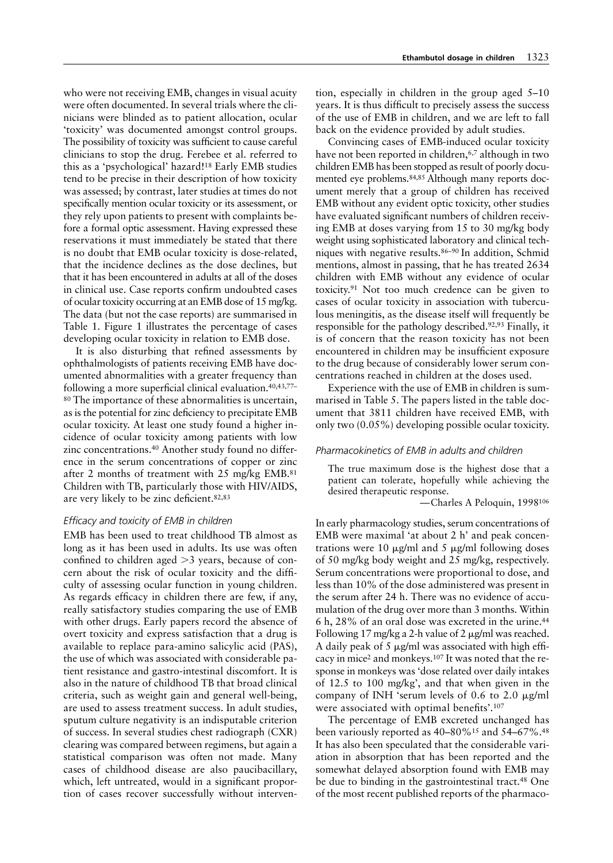who were not receiving EMB, changes in visual acuity were often documented. In several trials where the clinicians were blinded as to patient allocation, ocular 'toxicity' was documented amongst control groups. The possibility of toxicity was sufficient to cause careful clinicians to stop the drug. Ferebee et al. referred to this as a 'psychological' hazard!18 Early EMB studies tend to be precise in their description of how toxicity was assessed; by contrast, later studies at times do not specifically mention ocular toxicity or its assessment, or they rely upon patients to present with complaints before a formal optic assessment. Having expressed these reservations it must immediately be stated that there is no doubt that EMB ocular toxicity is dose-related, that the incidence declines as the dose declines, but that it has been encountered in adults at all of the doses in clinical use. Case reports confirm undoubted cases of ocular toxicity occurring at an EMB dose of 15 mg/kg. The data (but not the case reports) are summarised in Table 1. Figure 1 illustrates the percentage of cases developing ocular toxicity in relation to EMB dose.

It is also disturbing that refined assessments by ophthalmologists of patients receiving EMB have documented abnormalities with a greater frequency than following a more superficial clinical evaluation.40,43,77– 80 The importance of these abnormalities is uncertain, as is the potential for zinc deficiency to precipitate EMB ocular toxicity. At least one study found a higher incidence of ocular toxicity among patients with low zinc concentrations.40 Another study found no difference in the serum concentrations of copper or zinc after 2 months of treatment with 25 mg/kg EMB.81 Children with TB, particularly those with HIV/AIDS, are very likely to be zinc deficient.82,83

# *Efficacy and toxicity of EMB in children*

EMB has been used to treat childhood TB almost as long as it has been used in adults. Its use was often confined to children aged  $>$ 3 years, because of concern about the risk of ocular toxicity and the difficulty of assessing ocular function in young children. As regards efficacy in children there are few, if any, really satisfactory studies comparing the use of EMB with other drugs. Early papers record the absence of overt toxicity and express satisfaction that a drug is available to replace para-amino salicylic acid (PAS), the use of which was associated with considerable patient resistance and gastro-intestinal discomfort. It is also in the nature of childhood TB that broad clinical criteria, such as weight gain and general well-being, are used to assess treatment success. In adult studies, sputum culture negativity is an indisputable criterion of success. In several studies chest radiograph (CXR) clearing was compared between regimens, but again a statistical comparison was often not made. Many cases of childhood disease are also paucibacillary, which, left untreated, would in a significant proportion of cases recover successfully without intervention, especially in children in the group aged 5–10 years. It is thus difficult to precisely assess the success of the use of EMB in children, and we are left to fall back on the evidence provided by adult studies.

Convincing cases of EMB-induced ocular toxicity have not been reported in children,<sup>6,7</sup> although in two children EMB has been stopped as result of poorly documented eye problems.84,85 Although many reports document merely that a group of children has received EMB without any evident optic toxicity, other studies have evaluated significant numbers of children receiving EMB at doses varying from 15 to 30 mg/kg body weight using sophisticated laboratory and clinical techniques with negative results.86–90 In addition, Schmid mentions, almost in passing, that he has treated 2634 children with EMB without any evidence of ocular toxicity.91 Not too much credence can be given to cases of ocular toxicity in association with tuberculous meningitis, as the disease itself will frequently be responsible for the pathology described.92,93 Finally, it is of concern that the reason toxicity has not been encountered in children may be insufficient exposure to the drug because of considerably lower serum concentrations reached in children at the doses used.

Experience with the use of EMB in children is summarised in Table 5. The papers listed in the table document that 3811 children have received EMB, with only two (0.05%) developing possible ocular toxicity.

## *Pharmacokinetics of EMB in adults and children*

The true maximum dose is the highest dose that a patient can tolerate, hopefully while achieving the desired therapeutic response.

—Charles A Peloquin, 1998106

In early pharmacology studies, serum concentrations of EMB were maximal 'at about 2 h' and peak concentrations were 10  $\mu$ g/ml and 5  $\mu$ g/ml following doses of 50 mg/kg body weight and 25 mg/kg, respectively. Serum concentrations were proportional to dose, and less than 10% of the dose administered was present in the serum after 24 h. There was no evidence of accumulation of the drug over more than 3 months. Within 6 h, 28% of an oral dose was excreted in the urine.44 Following 17 mg/kg a 2-h value of 2  $\mu$ g/ml was reached. A daily peak of 5  $\mu$ g/ml was associated with high efficacy in mice2 and monkeys.107 It was noted that the response in monkeys was 'dose related over daily intakes of 12.5 to 100 mg/kg', and that when given in the company of INH 'serum levels of 0.6 to 2.0  $\mu$ g/ml were associated with optimal benefits'.107

The percentage of EMB excreted unchanged has been variously reported as 40–80%15 and 54–67%.48 It has also been speculated that the considerable variation in absorption that has been reported and the somewhat delayed absorption found with EMB may be due to binding in the gastrointestinal tract.<sup>48</sup> One of the most recent published reports of the pharmaco-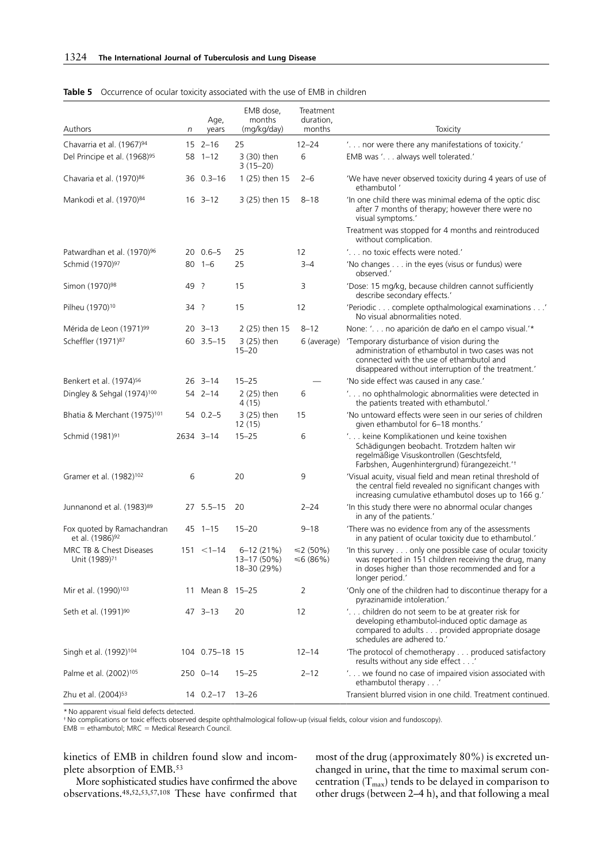| Authors                                                   | n         | Age,<br>years     | EMB dose.<br>months<br>(mg/kg/day)          | Treatment<br>duration,<br>months | Toxicity                                                                                                                                                                                            |
|-----------------------------------------------------------|-----------|-------------------|---------------------------------------------|----------------------------------|-----------------------------------------------------------------------------------------------------------------------------------------------------------------------------------------------------|
| Chavarria et al. (1967) <sup>94</sup>                     |           | $15 \t2-16$       | 25                                          | $12 - 24$                        | ' nor were there any manifestations of toxicity.'                                                                                                                                                   |
| Del Principe et al. (1968) <sup>95</sup>                  |           | $58$ 1-12         | 3 (30) then<br>$3(15-20)$                   | 6                                | EMB was '. always well tolerated.'                                                                                                                                                                  |
| Chavaria et al. (1970) <sup>86</sup>                      |           | 36 0.3-16         | 1 (25) then 15                              | $2 - 6$                          | 'We have never observed toxicity during 4 years of use of<br>ethambutol'                                                                                                                            |
| Mankodi et al. (1970) <sup>84</sup>                       |           | $16 \t3 - 12$     | 3 (25) then 15                              | $8 - 18$                         | 'In one child there was minimal edema of the optic disc<br>after 7 months of therapy; however there were no<br>visual symptoms.'                                                                    |
|                                                           |           |                   |                                             |                                  | Treatment was stopped for 4 months and reintroduced<br>without complication.                                                                                                                        |
| Patwardhan et al. (1970) <sup>96</sup>                    |           | $200.6 - 5$       | 25                                          | 12                               | ' no toxic effects were noted.'                                                                                                                                                                     |
| Schmid (1970) <sup>97</sup>                               |           | $80$ 1-6          | 25                                          | $3 - 4$                          | 'No changes in the eyes (visus or fundus) were<br>observed.'                                                                                                                                        |
| Simon (1970) <sup>98</sup>                                | 49        | - ?               | 15                                          | 3                                | 'Dose: 15 mg/kg, because children cannot sufficiently<br>describe secondary effects.'                                                                                                               |
| Pilheu (1970) <sup>10</sup>                               | 34 ?      |                   | 15                                          | 12                               | 'Periodic complete opthalmological examinations'<br>No visual abnormalities noted.                                                                                                                  |
| Mérida de Leon (1971) <sup>99</sup>                       |           | $20 \quad 3 - 13$ | 2 (25) then 15                              | $8 - 12$                         | None: '. no aparición de daño en el campo visual.'*                                                                                                                                                 |
| Scheffler (1971) <sup>87</sup>                            |           | $60$ 3.5-15       | 3 (25) then<br>$15 - 20$                    | 6 (average)                      | 'Temporary disturbance of vision during the<br>administration of ethambutol in two cases was not<br>connected with the use of ethambutol and<br>disappeared without interruption of the treatment.' |
| Benkert et al. (1974) <sup>56</sup>                       |           | $26$ 3-14         | $15 - 25$                                   |                                  | 'No side effect was caused in any case.'                                                                                                                                                            |
| Dingley & Sehgal (1974) <sup>100</sup>                    |           | 54 2-14           | 2 (25) then<br>4 (15)                       | 6                                | ' no ophthalmologic abnormalities were detected in<br>the patients treated with ethambutol.                                                                                                         |
| Bhatia & Merchant (1975) <sup>101</sup>                   |           | $54$ 0.2-5        | 3 (25) then<br>12(15)                       | 15                               | 'No untoward effects were seen in our series of children<br>given ethambutol for 6-18 months.'                                                                                                      |
| Schmid (1981) <sup>91</sup>                               | 2634 3-14 |                   | $15 - 25$                                   | 6                                | ' keine Komplikationen und keine toxishen<br>Schädigungen beobacht. Trotzdem halten wir<br>regelmäßige Visuskontrollen (Geschtsfeld,<br>Farbshen, Augenhintergrund) fürangezeicht.'t                |
| Gramer et al. (1982) <sup>102</sup>                       | 6         |                   | 20                                          | 9                                | 'Visual acuity, visual field and mean retinal threshold of<br>the central field revealed no significant changes with<br>increasing cumulative ethambutol doses up to 166 g.'                        |
| Junnanond et al. (1983)89                                 |           | $27, 5.5 - 15$    | 20                                          | $2 - 24$                         | In this study there were no abnormal ocular changes<br>in any of the patients.'                                                                                                                     |
| Fox quoted by Ramachandran<br>et al. (1986) <sup>92</sup> |           | $45 \t1 - 15$     | $15 - 20$                                   | $9 - 18$                         | 'There was no evidence from any of the assessments<br>in any patient of ocular toxicity due to ethambutol.'                                                                                         |
| MRC TB & Chest Diseases<br>Unit (1989) <sup>71</sup>      |           | $151 < 1-14$      | $6 - 12(21%)$<br>13-17 (50%)<br>18-30 (29%) | ≤2 (50%)<br>≤6 $(86%)$           | 'In this survey only one possible case of ocular toxicity<br>was reported in 151 children receiving the drug, many<br>in doses higher than those recommended and for a<br>longer period.'           |
| Mir et al. (1990) <sup>103</sup>                          |           | 11 Mean 8 15-25   |                                             | 2                                | 'Only one of the children had to discontinue therapy for a<br>pyrazinamide intoleration.'                                                                                                           |
| Seth et al. (1991) <sup>90</sup>                          |           | 47 3-13           | 20                                          | 12                               | ' children do not seem to be at greater risk for<br>developing ethambutol-induced optic damage as<br>compared to adults provided appropriate dosage<br>schedules are adhered to.'                   |
| Singh et al. (1992) <sup>104</sup>                        |           | 104 0.75-18 15    |                                             | $12 - 14$                        | 'The protocol of chemotherapy produced satisfactory<br>results without any side effect'                                                                                                             |
| Palme et al. (2002) <sup>105</sup>                        |           | 250 0-14          | $15 - 25$                                   | $2 - 12$                         | ' we found no case of impaired vision associated with<br>ethambutol therapy'                                                                                                                        |
| Zhu et al. (2004) <sup>53</sup>                           |           | 14 0.2-17         | 13–26                                       |                                  | Transient blurred vision in one child. Treatment continued.                                                                                                                                         |

## **Table 5** Occurrence of ocular toxicity associated with the use of EMB in children

\* No apparent visual field defects detected.

† No complications or toxic effects observed despite ophthalmological follow-up (visual fields, colour vision and fundoscopy).<br>EMB = ethambutol; MRC = Medical Research Council.

kinetics of EMB in children found slow and incomplete absorption of EMB.53

More sophisticated studies have confirmed the above observations.48,52,53,57,108 These have confirmed that most of the drug (approximately 80%) is excreted unchanged in urine, that the time to maximal serum concentration  $(T_{\text{max}})$  tends to be delayed in comparison to other drugs (between 2–4 h), and that following a meal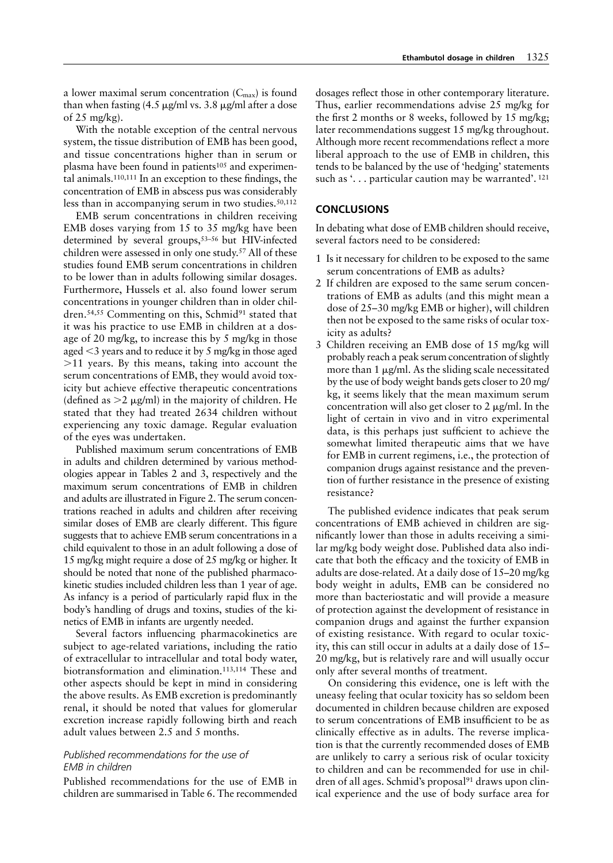a lower maximal serum concentration  $(C_{\text{max}})$  is found than when fasting (4.5  $\mu$ g/ml vs. 3.8  $\mu$ g/ml after a dose of 25 mg/kg).

With the notable exception of the central nervous system, the tissue distribution of EMB has been good, and tissue concentrations higher than in serum or plasma have been found in patients<sup>105</sup> and experimental animals.110,111 In an exception to these findings, the concentration of EMB in abscess pus was considerably less than in accompanying serum in two studies.<sup>50,112</sup>

EMB serum concentrations in children receiving EMB doses varying from 15 to 35 mg/kg have been determined by several groups,53–56 but HIV-infected children were assessed in only one study.57 All of these studies found EMB serum concentrations in children to be lower than in adults following similar dosages. Furthermore, Hussels et al. also found lower serum concentrations in younger children than in older children.<sup>54,55</sup> Commenting on this, Schmid<sup>91</sup> stated that it was his practice to use EMB in children at a dosage of 20 mg/kg, to increase this by 5 mg/kg in those aged  $\leq$ 3 years and to reduce it by 5 mg/kg in those aged -11 years. By this means, taking into account the serum concentrations of EMB, they would avoid toxicity but achieve effective therapeutic concentrations (defined as  $>2 \mu g/ml$ ) in the majority of children. He stated that they had treated 2634 children without experiencing any toxic damage. Regular evaluation of the eyes was undertaken.

Published maximum serum concentrations of EMB in adults and children determined by various methodologies appear in Tables 2 and 3, respectively and the maximum serum concentrations of EMB in children and adults are illustrated in Figure 2. The serum concentrations reached in adults and children after receiving similar doses of EMB are clearly different. This figure suggests that to achieve EMB serum concentrations in a child equivalent to those in an adult following a dose of 15 mg/kg might require a dose of 25 mg/kg or higher. It should be noted that none of the published pharmacokinetic studies included children less than 1 year of age. As infancy is a period of particularly rapid flux in the body's handling of drugs and toxins, studies of the kinetics of EMB in infants are urgently needed.

Several factors influencing pharmacokinetics are subject to age-related variations, including the ratio of extracellular to intracellular and total body water, biotransformation and elimination.113,114 These and other aspects should be kept in mind in considering the above results. As EMB excretion is predominantly renal, it should be noted that values for glomerular excretion increase rapidly following birth and reach adult values between 2.5 and 5 months.

# *Published recommendations for the use of EMB in children*

Published recommendations for the use of EMB in children are summarised in Table 6. The recommended dosages reflect those in other contemporary literature. Thus, earlier recommendations advise 25 mg/kg for the first 2 months or 8 weeks, followed by 15 mg/kg; later recommendations suggest 15 mg/kg throughout. Although more recent recommendations reflect a more liberal approach to the use of EMB in children, this tends to be balanced by the use of 'hedging' statements such as '. . . particular caution may be warranted'. 121

# **CONCLUSIONS**

In debating what dose of EMB children should receive, several factors need to be considered:

- 1 Is it necessary for children to be exposed to the same serum concentrations of EMB as adults?
- 2 If children are exposed to the same serum concentrations of EMB as adults (and this might mean a dose of 25–30 mg/kg EMB or higher), will children then not be exposed to the same risks of ocular toxicity as adults?
- 3 Children receiving an EMB dose of 15 mg/kg will probably reach a peak serum concentration of slightly more than  $1 \mu g/ml$ . As the sliding scale necessitated by the use of body weight bands gets closer to 20 mg/ kg, it seems likely that the mean maximum serum concentration will also get closer to  $2 \mu g/ml$ . In the light of certain in vivo and in vitro experimental data, is this perhaps just sufficient to achieve the somewhat limited therapeutic aims that we have for EMB in current regimens, i.e., the protection of companion drugs against resistance and the prevention of further resistance in the presence of existing resistance?

The published evidence indicates that peak serum concentrations of EMB achieved in children are significantly lower than those in adults receiving a similar mg/kg body weight dose. Published data also indicate that both the efficacy and the toxicity of EMB in adults are dose-related. At a daily dose of 15–20 mg/kg body weight in adults, EMB can be considered no more than bacteriostatic and will provide a measure of protection against the development of resistance in companion drugs and against the further expansion of existing resistance. With regard to ocular toxicity, this can still occur in adults at a daily dose of 15– 20 mg/kg, but is relatively rare and will usually occur only after several months of treatment.

On considering this evidence, one is left with the uneasy feeling that ocular toxicity has so seldom been documented in children because children are exposed to serum concentrations of EMB insufficient to be as clinically effective as in adults. The reverse implication is that the currently recommended doses of EMB are unlikely to carry a serious risk of ocular toxicity to children and can be recommended for use in children of all ages. Schmid's proposal<sup>91</sup> draws upon clinical experience and the use of body surface area for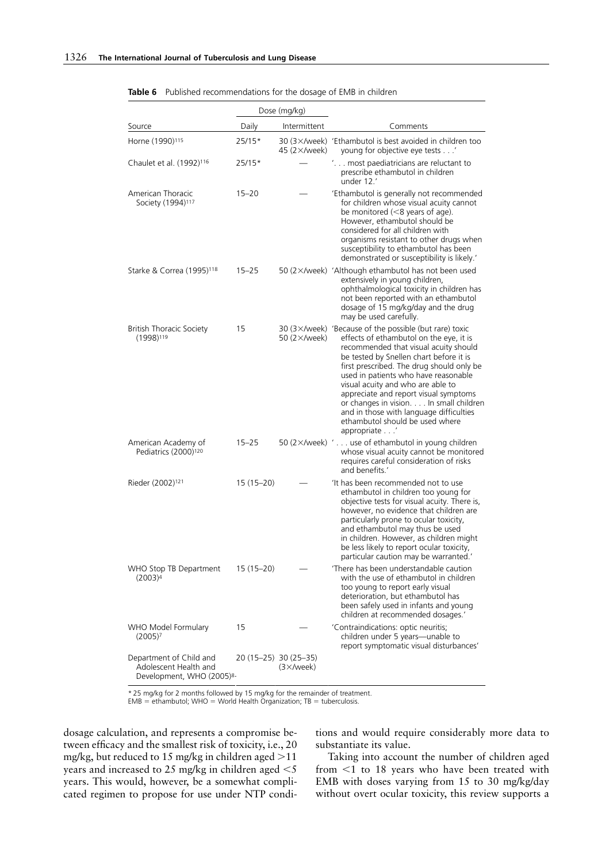|                                                                               |             | Dose (mg/kg)                                |                                                                                                                                                                                                                                                                                                                                                                                                                                                                                                            |
|-------------------------------------------------------------------------------|-------------|---------------------------------------------|------------------------------------------------------------------------------------------------------------------------------------------------------------------------------------------------------------------------------------------------------------------------------------------------------------------------------------------------------------------------------------------------------------------------------------------------------------------------------------------------------------|
| Source                                                                        | Daily       | Intermittent                                | Comments                                                                                                                                                                                                                                                                                                                                                                                                                                                                                                   |
| Horne (1990) <sup>115</sup>                                                   | 25/15*      | 45 $(2 \times$ /week)                       | 30 (3×/week) 'Ethambutol is best avoided in children too<br>young for objective eye tests'                                                                                                                                                                                                                                                                                                                                                                                                                 |
| Chaulet et al. (1992) <sup>116</sup>                                          | 25/15*      |                                             | ' most paediatricians are reluctant to<br>prescribe ethambutol in children<br>under 12.                                                                                                                                                                                                                                                                                                                                                                                                                    |
| American Thoracic<br>Society (1994) <sup>117</sup>                            | $15 - 20$   |                                             | 'Ethambutol is generally not recommended<br>for children whose visual acuity cannot<br>be monitored $(<$ 8 years of age).<br>However, ethambutol should be<br>considered for all children with<br>organisms resistant to other drugs when<br>susceptibility to ethambutol has been<br>demonstrated or susceptibility is likely.'                                                                                                                                                                           |
| Starke & Correa (1995) <sup>118</sup>                                         | $15 - 25$   |                                             | 50 (2×/week) 'Although ethambutol has not been used<br>extensively in young children,<br>ophthalmological toxicity in children has<br>not been reported with an ethambutol<br>dosage of 15 mg/kg/day and the drug<br>may be used carefully.                                                                                                                                                                                                                                                                |
| <b>British Thoracic Society</b><br>(1998) <sup>119</sup>                      | 15          | 50 (2×/week)                                | 30 $(3 \times$ /week) 'Because of the possible (but rare) toxic<br>effects of ethambutol on the eye, it is<br>recommended that visual acuity should<br>be tested by Snellen chart before it is<br>first prescribed. The drug should only be<br>used in patients who have reasonable<br>visual acuity and who are able to<br>appreciate and report visual symptoms<br>or changes in vision. In small children<br>and in those with language difficulties<br>ethambutol should be used where<br>appropriate' |
| American Academy of<br>Pediatrics (2000) <sup>120</sup>                       | $15 - 25$   |                                             | 50 $(2 \times$ /week) $\prime$ use of ethambutol in young children<br>whose visual acuity cannot be monitored<br>requires careful consideration of risks<br>and benefits.'                                                                                                                                                                                                                                                                                                                                 |
| Rieder (2002) <sup>121</sup>                                                  | $15(15-20)$ |                                             | 'It has been recommended not to use<br>ethambutol in children too young for<br>objective tests for visual acuity. There is,<br>however, no evidence that children are<br>particularly prone to ocular toxicity,<br>and ethambutol may thus be used<br>in children. However, as children might<br>be less likely to report ocular toxicity,<br>particular caution may be warranted.'                                                                                                                        |
| WHO Stop TB Department<br>$(2003)^4$                                          | 15 (15–20)  |                                             | 'There has been understandable caution<br>with the use of ethambutol in children<br>too young to report early visual<br>deterioration, but ethambutol has<br>been safely used in infants and young<br>children at recommended dosages.'                                                                                                                                                                                                                                                                    |
| WHO Model Formulary<br>(2005) <sup>7</sup>                                    | 15          |                                             | 'Contraindications: optic neuritis;<br>children under 5 years-unable to<br>report symptomatic visual disturbances'                                                                                                                                                                                                                                                                                                                                                                                         |
| Department of Child and<br>Adolescent Health and<br>Development, WHO (2005)8- |             | 20 (15-25) 30 (25-35)<br>$(3 \times$ /week) |                                                                                                                                                                                                                                                                                                                                                                                                                                                                                                            |

|  |  | <b>Table 6</b> Published recommendations for the dosage of EMB in children |  |  |  |  |  |
|--|--|----------------------------------------------------------------------------|--|--|--|--|--|
|  |  |                                                                            |  |  |  |  |  |

\* 25 mg/kg for 2 months followed by 15 mg/kg for the remainder of treatment.<br>EMB = ethambutol; WHO = World Health Organization; TB = tuberculosis.

dosage calculation, and represents a compromise between efficacy and the smallest risk of toxicity, i.e., 20 mg/kg, but reduced to 15 mg/kg in children aged -11 years and increased to 25 mg/kg in children aged  $<$  5 years. This would, however, be a somewhat complicated regimen to propose for use under NTP conditions and would require considerably more data to substantiate its value.

Taking into account the number of children aged from  $1$  to 18 years who have been treated with EMB with doses varying from 15 to 30 mg/kg/day without overt ocular toxicity, this review supports a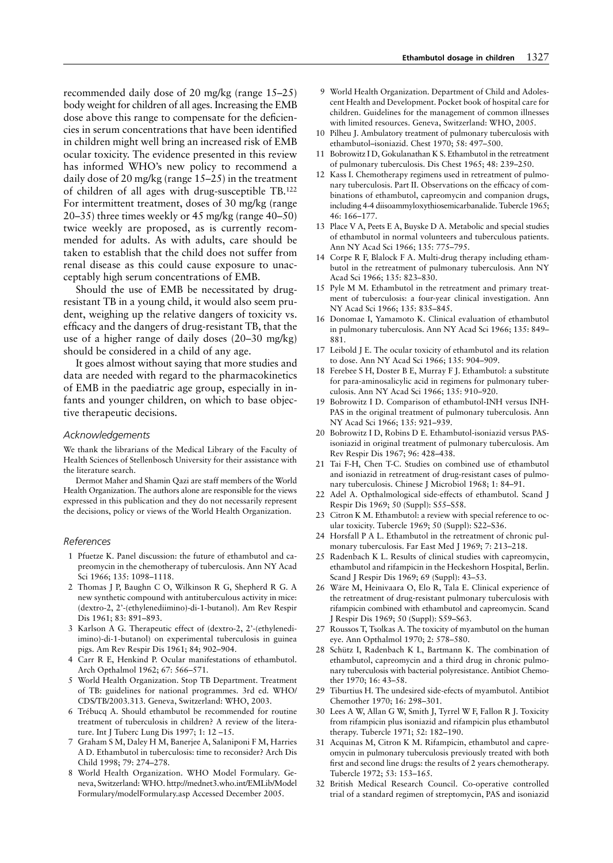recommended daily dose of 20 mg/kg (range 15–25) body weight for children of all ages. Increasing the EMB dose above this range to compensate for the deficiencies in serum concentrations that have been identified in children might well bring an increased risk of EMB ocular toxicity. The evidence presented in this review has informed WHO's new policy to recommend a daily dose of 20 mg/kg (range 15–25) in the treatment of children of all ages with drug-susceptible TB.122 For intermittent treatment, doses of 30 mg/kg (range 20–35) three times weekly or 45 mg/kg (range 40–50) twice weekly are proposed, as is currently recommended for adults. As with adults, care should be taken to establish that the child does not suffer from renal disease as this could cause exposure to unacceptably high serum concentrations of EMB.

Should the use of EMB be necessitated by drugresistant TB in a young child, it would also seem prudent, weighing up the relative dangers of toxicity vs. efficacy and the dangers of drug-resistant TB, that the use of a higher range of daily doses (20–30 mg/kg) should be considered in a child of any age.

It goes almost without saying that more studies and data are needed with regard to the pharmacokinetics of EMB in the paediatric age group, especially in infants and younger children, on which to base objective therapeutic decisions.

## *Acknowledgements*

We thank the librarians of the Medical Library of the Faculty of Health Sciences of Stellenbosch University for their assistance with the literature search.

Dermot Maher and Shamin Qazi are staff members of the World Health Organization. The authors alone are responsible for the views expressed in this publication and they do not necessarily represent the decisions, policy or views of the World Health Organization.

#### *References*

- 1 Pfuetze K. Panel discussion: the future of ethambutol and capreomycin in the chemotherapy of tuberculosis. Ann NY Acad Sci 1966; 135: 1098–1118.
- 2 Thomas J P, Baughn C O, Wilkinson R G, Shepherd R G. A new synthetic compound with antituberculous activity in mice: (dextro-2, 2'-(ethylenediimino)-di-1-butanol). Am Rev Respir Dis 1961; 83: 891–893.
- 3 Karlson A G. Therapeutic effect of (dextro-2, 2'-(ethylenediimino)-di-1-butanol) on experimental tuberculosis in guinea pigs. Am Rev Respir Dis 1961; 84; 902–904.
- 4 Carr R E, Henkind P. Ocular manifestations of ethambutol. Arch Opthalmol 1962; 67: 566–571.
- 5 World Health Organization. Stop TB Department. Treatment of TB: guidelines for national programmes. 3rd ed. WHO/ CDS/TB/2003.313. Geneva, Switzerland: WHO, 2003.
- 6 Trébucq A. Should ethambutol be recommended for routine treatment of tuberculosis in children? A review of the literature. Int J Tuberc Lung Dis 1997; 1: 12 –15.
- 7 Graham S M, Daley H M, Banerjee A, Salaniponi F M, Harries A D. Ethambutol in tuberculosis: time to reconsider? Arch Dis Child 1998; 79: 274–278.
- 8 World Health Organization. WHO Model Formulary. Geneva, Switzerland: WHO. http://mednet3.who.int/EMLib/Model Formulary/modelFormulary.asp Accessed December 2005.
- 9 World Health Organization. Department of Child and Adolescent Health and Development. Pocket book of hospital care for children. Guidelines for the management of common illnesses with limited resources. Geneva, Switzerland: WHO, 2005.
- 10 Pilheu J. Ambulatory treatment of pulmonary tuberculosis with ethambutol–isoniazid. Chest 1970; 58: 497–500.
- 11 Bobrowitz I D, Gokulanathan K S. Ethambutol in the retreatment of pulmonary tuberculosis. Dis Chest 1965; 48: 239–250.
- 12 Kass I. Chemotherapy regimens used in retreatment of pulmonary tuberculosis. Part II. Observations on the efficacy of combinations of ethambutol, capreomycin and companion drugs, including 4-4 diisoammyloxythiosemicarbanalide. Tubercle 1965; 46: 166–177.
- 13 Place V A, Peets E A, Buyske D A. Metabolic and special studies of ethambutol in normal volunteers and tuberculous patients. Ann NY Acad Sci 1966; 135: 775–795.
- 14 Corpe R F, Blalock F A. Multi-drug therapy including ethambutol in the retreatment of pulmonary tuberculosis. Ann NY Acad Sci 1966; 135: 823–830.
- 15 Pyle M M. Ethambutol in the retreatment and primary treatment of tuberculosis: a four-year clinical investigation. Ann NY Acad Sci 1966; 135: 835–845.
- 16 Donomae I, Yamamoto K. Clinical evaluation of ethambutol in pulmonary tuberculosis. Ann NY Acad Sci 1966; 135: 849– 881.
- 17 Leibold J E. The ocular toxicity of ethambutol and its relation to dose. Ann NY Acad Sci 1966; 135: 904–909.
- 18 Ferebee S H, Doster B E, Murray F J. Ethambutol: a substitute for para-aminosalicylic acid in regimens for pulmonary tuberculosis. Ann NY Acad Sci 1966; 135: 910–920.
- 19 Bobrowitz I D. Comparison of ethambutol-INH versus INH-PAS in the original treatment of pulmonary tuberculosis. Ann NY Acad Sci 1966; 135: 921–939.
- 20 Bobrowitz I D, Robins D E. Ethambutol-isoniazid versus PASisoniazid in original treatment of pulmonary tuberculosis. Am Rev Respir Dis 1967; 96: 428–438.
- 21 Tai F-H, Chen T-C. Studies on combined use of ethambutol and isoniazid in retreatment of drug-resistant cases of pulmonary tuberculosis. Chinese J Microbiol 1968; 1: 84–91.
- 22 Adel A. Opthalmological side-effects of ethambutol. Scand J Respir Dis 1969; 50 (Suppl): S55–S58.
- 23 Citron K M. Ethambutol: a review with special reference to ocular toxicity. Tubercle 1969; 50 (Suppl): S22–S36.
- 24 Horsfall P A L. Ethambutol in the retreatment of chronic pulmonary tuberculosis. Far East Med J 1969; 7: 213-218.
- 25 Radenbach K L. Results of clinical studies with capreomycin, ethambutol and rifampicin in the Heckeshorn Hospital, Berlin. Scand J Respir Dis 1969; 69 (Suppl): 43–53.
- 26 Wäre M, Heinivaara O, Elo R, Tala E. Clinical experience of the retreatment of drug-resistant pulmonary tuberculosis with rifampicin combined with ethambutol and capreomycin. Scand J Respir Dis 1969; 50 (Suppl): S59–S63.
- 27 Roussos T, Tsolkas A. The toxicity of myambutol on the human eye. Ann Opthalmol 1970; 2: 578–580.
- 28 Schütz I, Radenbach K L, Bartmann K. The combination of ethambutol, capreomycin and a third drug in chronic pulmonary tuberculosis with bacterial polyresistance. Antibiot Chemother 1970; 16: 43–58.
- 29 Tiburtius H. The undesired side-efects of myambutol. Antibiot Chemother 1970; 16: 298–301.
- 30 Lees A W, Allan G W, Smith J, Tyrrel W F, Fallon R J. Toxicity from rifampicin plus isoniazid and rifampicin plus ethambutol therapy. Tubercle 1971; 52: 182–190.
- 31 Acquinas M, Citron K M. Rifampicin, ethambutol and capreomycin in pulmonary tuberculosis previously treated with both first and second line drugs: the results of 2 years chemotherapy. Tubercle 1972; 53: 153–165.
- 32 British Medical Research Council. Co-operative controlled trial of a standard regimen of streptomycin, PAS and isoniazid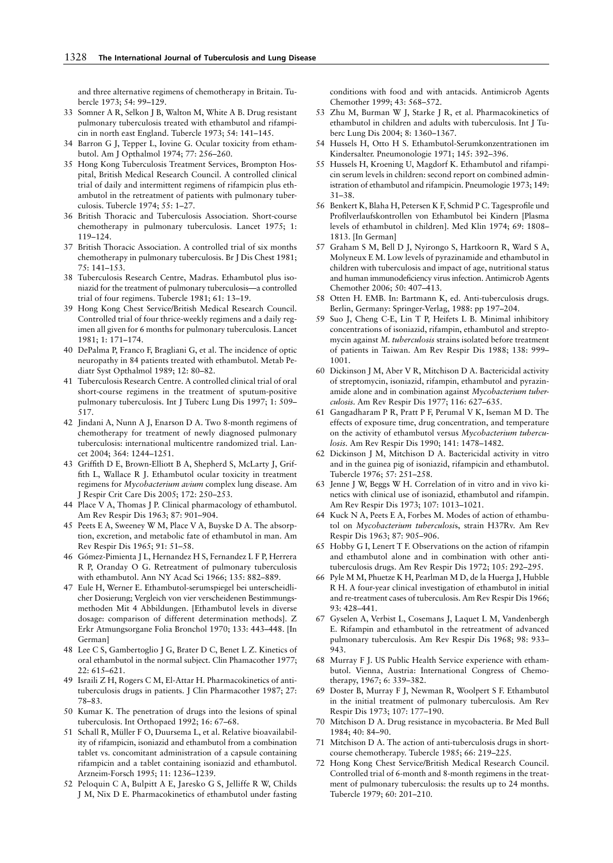and three alternative regimens of chemotherapy in Britain. Tubercle 1973; 54: 99–129.

- 33 Somner A R, Selkon J B, Walton M, White A B. Drug resistant pulmonary tuberculosis treated with ethambutol and rifampicin in north east England. Tubercle 1973; 54: 141–145.
- 34 Barron G J, Tepper L, Iovine G. Ocular toxicity from ethambutol. Am J Opthalmol 1974; 77: 256–260.
- 35 Hong Kong Tuberculosis Treatment Services, Brompton Hospital, British Medical Research Council. A controlled clinical trial of daily and intermittent regimens of rifampicin plus ethambutol in the retreatment of patients with pulmonary tuberculosis. Tubercle 1974; 55: 1–27.
- 36 British Thoracic and Tuberculosis Association. Short-course chemotherapy in pulmonary tuberculosis. Lancet 1975; 1: 119–124.
- 37 British Thoracic Association. A controlled trial of six months chemotherapy in pulmonary tuberculosis. Br J Dis Chest 1981; 75: 141–153.
- 38 Tuberculosis Research Centre, Madras. Ethambutol plus isoniazid for the treatment of pulmonary tuberculosis—a controlled trial of four regimens. Tubercle 1981; 61: 13–19.
- 39 Hong Kong Chest Service/British Medical Research Council. Controlled trial of four thrice-weekly regimens and a daily regimen all given for 6 months for pulmonary tuberculosis. Lancet 1981; 1: 171–174.
- 40 DePalma P, Franco F, Bragliani G, et al. The incidence of optic neuropathy in 84 patients treated with ethambutol. Metab Pediatr Syst Opthalmol 1989; 12: 80–82.
- 41 Tuberculosis Research Centre. A controlled clinical trial of oral short-course regimens in the treatment of sputum-positive pulmonary tuberculosis. Int J Tuberc Lung Dis 1997; 1: 509– 517.
- 42 Jindani A, Nunn A J, Enarson D A. Two 8-month regimens of chemotherapy for treatment of newly diagnosed pulmonary tuberculosis: international multicentre randomized trial. Lancet 2004; 364: 1244–1251.
- 43 Griffith D E, Brown-Elliott B A, Shepherd S, McLarty J, Griffith L, Wallace R J. Ethambutol ocular toxicity in treatment regimens for *Mycobacterium avium* complex lung disease. Am J Respir Crit Care Dis 2005; 172: 250–253.
- 44 Place V A, Thomas J P. Clinical pharmacology of ethambutol. Am Rev Respir Dis 1963; 87: 901–904.
- 45 Peets E A, Sweeney W M, Place V A, Buyske D A. The absorption, excretion, and metabolic fate of ethambutol in man. Am Rev Respir Dis 1965; 91: 51–58.
- 46 Gómez-Pimienta J L, Hernandez H S, Fernandez L F P, Herrera R P, Oranday O G. Retreatment of pulmonary tuberculosis with ethambutol. Ann NY Acad Sci 1966; 135: 882–889.
- 47 Eule H, Werner E. Ethambutol-serumspiegel bei unterscheidlicher Dosierung; Vergleich von vier verscheidenen Bestimmungsmethoden Mit 4 Abbildungen. [Ethambutol levels in diverse dosage: comparison of different determination methods]. Z Erkr Atmungsorgane Folia Bronchol 1970; 133: 443–448. [In German]
- 48 Lee C S, Gambertoglio J G, Brater D C, Benet L Z. Kinetics of oral ethambutol in the normal subject. Clin Phamacother 1977; 22: 615–621.
- 49 Israili Z H, Rogers C M, El-Attar H. Pharmacokinetics of antituberculosis drugs in patients. J Clin Pharmacother 1987; 27: 78–83.
- 50 Kumar K. The penetration of drugs into the lesions of spinal tuberculosis. Int Orthopaed 1992; 16: 67–68.
- 51 Schall R, Müller F O, Duursema L, et al. Relative bioavailability of rifampicin, isoniazid and ethambutol from a combination tablet vs. concomitant administration of a capsule containing rifampicin and a tablet containing isoniazid and ethambutol. Arzneim-Forsch 1995; 11: 1236–1239.
- 52 Peloquin C A, Bulpitt A E, Jaresko G S, Jelliffe R W, Childs J M, Nix D E. Pharmacokinetics of ethambutol under fasting

conditions with food and with antacids. Antimicrob Agents Chemother 1999; 43: 568–572.

- 53 Zhu M, Burman W J, Starke J R, et al. Pharmacokinetics of ethambutol in children and adults with tuberculosis. Int J Tuberc Lung Dis 2004; 8: 1360–1367.
- 54 Hussels H, Otto H S. Ethambutol-Serumkonzentrationen im Kindersalter. Pneumonologie 1971; 145: 392–396.
- 55 Hussels H, Kroening U, Magdorf K. Ethambutol and rifampicin serum levels in children: second report on combined administration of ethambutol and rifampicin. Pneumologie 1973; 149: 31–38.
- 56 Benkert K, Blaha H, Petersen K F, Schmid P C. Tagesprofile und Profilverlaufskontrollen von Ethambutol bei Kindern [Plasma levels of ethambutol in children]. Med Klin 1974; 69: 1808– 1813. [In German]
- 57 Graham S M, Bell D J, Nyirongo S, Hartkoorn R, Ward S A, Molyneux E M. Low levels of pyrazinamide and ethambutol in children with tuberculosis and impact of age, nutritional status and human immunodeficiency virus infection. Antimicrob Agents Chemother 2006; 50: 407–413.
- 58 Otten H. EMB. In: Bartmann K, ed. Anti-tuberculosis drugs. Berlin, Germany: Springer-Verlag, 1988: pp 197–204.
- 59 Suo J, Cheng C-E, Lin T P, Heifets L B. Minimal inhibitory concentrations of isoniazid, rifampin, ethambutol and streptomycin against *M. tuberculosis* strains isolated before treatment of patients in Taiwan. Am Rev Respir Dis 1988; 138: 999– 1001.
- 60 Dickinson J M, Aber V R, Mitchison D A. Bactericidal activity of streptomycin, isoniazid, rifampin, ethambutol and pyrazinamide alone and in combination against *Mycobacterium tuberculosis.* Am Rev Respir Dis 1977; 116: 627–635.
- 61 Gangadharam P R, Pratt P F, Perumal V K, Iseman M D. The effects of exposure time, drug concentration, and temperature on the activity of ethambutol versus *Mycobacterium tuberculosis.* Am Rev Respir Dis 1990; 141: 1478–1482.
- 62 Dickinson J M, Mitchison D A. Bactericidal activity in vitro and in the guinea pig of isoniazid, rifampicin and ethambutol. Tubercle 1976; 57: 251–258.
- 63 Jenne J W, Beggs W H. Correlation of in vitro and in vivo kinetics with clinical use of isoniazid, ethambutol and rifampin. Am Rev Respir Dis 1973; 107: 1013–1021.
- 64 Kuck N A, Peets E A, Forbes M. Modes of action of ethambutol on *Mycobacterium tuberculosi*s, strain H37Rv. Am Rev Respir Dis 1963; 87: 905–906.
- 65 Hobby G I, Lenert T F. Observations on the action of rifampin and ethambutol alone and in combination with other antituberculosis drugs. Am Rev Respir Dis 1972; 105: 292–295.
- 66 Pyle M M, Phuetze K H, Pearlman M D, de la Huerga J, Hubble R H. A four-year clinical investigation of ethambutol in initial and re-treatment cases of tuberculosis. Am Rev Respir Dis 1966; 93: 428–441.
- 67 Gyselen A, Verbist L, Cosemans J, Laquet L M, Vandenbergh E. Rifampin and ethambutol in the retreatment of advanced pulmonary tuberculosis. Am Rev Respir Dis 1968; 98: 933– 943.
- 68 Murray F J. US Public Health Service experience with ethambutol. Vienna, Austria: International Congress of Chemotherapy, 1967; 6: 339–382.
- 69 Doster B, Murray F J, Newman R, Woolpert S F. Ethambutol in the initial treatment of pulmonary tuberculosis. Am Rev Respir Dis 1973; 107: 177–190.
- 70 Mitchison D A. Drug resistance in mycobacteria. Br Med Bull 1984; 40: 84–90.
- 71 Mitchison D A. The action of anti-tuberculosis drugs in shortcourse chemotherapy. Tubercle 1985; 66: 219–225.
- 72 Hong Kong Chest Service/British Medical Research Council. Controlled trial of 6-month and 8-month regimens in the treatment of pulmonary tuberculosis: the results up to 24 months. Tubercle 1979; 60: 201–210.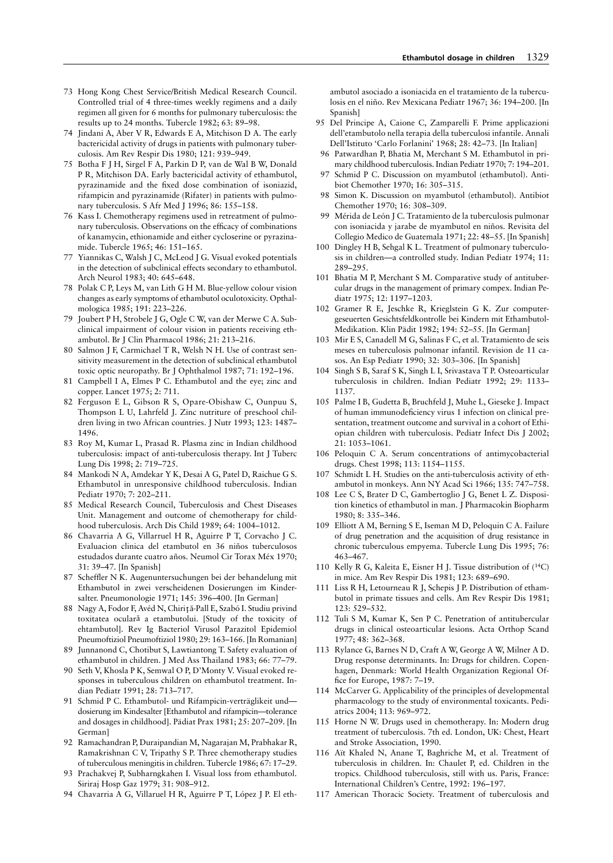- 73 Hong Kong Chest Service/British Medical Research Council. Controlled trial of 4 three-times weekly regimens and a daily regimen all given for 6 months for pulmonary tuberculosis: the results up to 24 months. Tubercle 1982; 63: 89–98.
- Jindani A, Aber V R, Edwards E A, Mitchison D A. The early bactericidal activity of drugs in patients with pulmonary tuberculosis. Am Rev Respir Dis 1980; 121: 939–949.
- 75 Botha F J H, Sirgel F A, Parkin D P, van de Wal B W, Donald P R, Mitchison DA. Early bactericidal activity of ethambutol, pyrazinamide and the fixed dose combination of isoniazid, rifampicin and pyrazinamide (Rifater) in patients with pulmonary tuberculosis. S Afr Med J 1996; 86: 155–158.
- 76 Kass I. Chemotherapy regimens used in retreatment of pulmonary tuberculosis. Observations on the efficacy of combinations of kanamycin, ethionamide and either cycloserine or pyrazinamide. Tubercle 1965; 46: 151–165.
- 77 Yiannikas C, Walsh J C, McLeod J G. Visual evoked potentials in the detection of subclinical effects secondary to ethambutol. Arch Neurol 1983; 40: 645–648.
- 78 Polak C P, Leys M, van Lith G H M. Blue-yellow colour vision changes as early symptoms of ethambutol oculotoxicity. Opthalmologica 1985; 191: 223–226.
- 79 Joubert P H, Strobele J G, Ogle C W, van der Merwe C A. Subclinical impairment of colour vision in patients receiving ethambutol. Br J Clin Pharmacol 1986; 21: 213–216.
- 80 Salmon J F, Carmichael T R, Welsh N H. Use of contrast sensitivity measurement in the detection of subclinical ethambutol toxic optic neuropathy. Br J Ophthalmol 1987; 71: 192–196.
- 81 Campbell I A, Elmes P C. Ethambutol and the eye; zinc and copper. Lancet 1975; 2: 711.
- 82 Ferguson E L, Gibson R S, Opare-Obishaw C, Ounpuu S, Thompson L U, Lahrfeld J. Zinc nutriture of preschool children living in two African countries. J Nutr 1993; 123: 1487– 1496.
- 83 Roy M, Kumar L, Prasad R. Plasma zinc in Indian childhood tuberculosis: impact of anti-tuberculosis therapy. Int J Tuberc Lung Dis 1998; 2: 719–725.
- 84 Mankodi N A, Amdekar Y K, Desai A G, Patel D, Raichue G S. Ethambutol in unresponsive childhood tuberculosis. Indian Pediatr 1970; 7: 202–211.
- 85 Medical Research Council, Tuberculosis and Chest Diseases Unit. Management and outcome of chemotherapy for childhood tuberculosis. Arch Dis Child 1989; 64: 1004–1012.
- 86 Chavarria A G, Villarruel H R, Aguirre P T, Corvacho J C. Evaluacion clinica del etambutol en 36 niños tuberculosos estudados durante cuatro años. Neumol Cir Torax Méx 1970; 31: 39–47. [In Spanish]
- 87 Scheffler N K. Augenuntersuchungen bei der behandelung mit Ethambutol in zwei verscheidenen Dosierungen im Kindersalter. Pneumonologie 1971; 145: 396–400. [In German]
- 88 Nagy A, Fodor F, Avéd N, Chirită-Pall E, Szabó I. Studiu privind toxitatea oculară a etambutolui. [Study of the toxicity of ehtambutol]. Rev Ig Bacteriol Virusol Parazitol Epidemiol Pneumoftiziol Pneumoftiziol 1980; 29: 163–166. [In Romanian]
- 89 Junnanond C, Chotibut S, Lawtiantong T. Safety evaluation of ethambutol in children. J Med Ass Thailand 1983; 66: 77–79.
- 90 Seth V, Khosla P K, Semwal O P, D'Monty V. Visual evoked responses in tuberculous children on ethambutol treatment. Indian Pediatr 1991; 28: 713–717.
- 91 Schmid P C. Ethambutol- und Rifampicin-verträglikeit und dosierung im Kindesalter [Ethambutol and rifampicin—tolerance and dosages in childhood]. Pädiat Prax 1981; 25: 207–209. [In German]
- 92 Ramachandran P, Duraipandian M, Nagarajan M, Prabhakar R, Ramakrishnan C V, Tripathy S P. Three chemotherapy studies of tuberculous meningitis in children. Tubercle 1986; 67: 17–29.
- 93 Prachakvej P, Subharngkahen I. Visual loss from ethambutol. Siriraj Hosp Gaz 1979; 31: 908–912.
- 94 Chavarria A G, Villaruel H R, Aguirre P T, López J P. El eth-

ambutol asociado a isoniacida en el tratamiento de la tuberculosis en el niño. Rev Mexicana Pediatr 1967; 36: 194–200. [In Spanish]

- 95 Del Principe A, Caione C, Zamparelli F. Prime applicazioni dell'etambutolo nella terapia della tuberculosi infantile. Annali Dell'Istituto 'Carlo Forlanini' 1968; 28: 42–73. [In Italian]
- 96 Patwardhan P, Bhatia M, Merchant S M. Ethambutol in primary childhood tuberculosis. Indian Pediatr 1970; 7: 194–201.
- 97 Schmid P C. Discussion on myambutol (ethambutol). Antibiot Chemother 1970; 16: 305–315.
- 98 Simon K. Discussion on myambutol (ethambutol). Antibiot Chemother 1970; 16: 308–309.
- 99 Mérida de León J C. Tratamiento de la tuberculosis pulmonar con isoniacida y jarabe de myambutol en niños. Revisita del Collegio Medico de Guatemala 1971; 22: 48–55. [In Spanish]
- 100 Dingley H B, Sehgal K L. Treatment of pulmonary tuberculosis in children—a controlled study. Indian Pediatr 1974; 11: 289–295.
- 101 Bhatia M P, Merchant S M. Comparative study of antitubercular drugs in the management of primary compex. Indian Pediatr 1975; 12: 1197–1203.
- 102 Gramer R E, Jeschke R, Krieglstein G K. Zur computergeseuerten Gesichtsfeldkontrolle bei Kindern mit Ethambutol-Medikation. Klin Pädit 1982; 194: 52–55. [In German]
- 103 Mir E S, Canadell M G, Salinas F C, et al. Tratamiento de seis meses en tuberculosis pulmonar infantil. Revision de 11 casos. An Esp Pediatr 1990; 32: 303–306. [In Spanish]
- 104 Singh S B, Saraf S K, Singh L I, Srivastava T P. Osteoarticular tuberculosis in children. Indian Pediatr 1992; 29: 1133– 1137.
- 105 Palme I B, Gudetta B, Bruchfeld J, Muhe L, Gieseke J. Impact of human immunodeficiency virus 1 infection on clinical presentation, treatment outcome and survival in a cohort of Ethiopian children with tuberculosis. Pediatr Infect Dis J 2002; 21: 1053–1061.
- 106 Peloquin C A. Serum concentrations of antimycobacterial drugs. Chest 1998; 113: 1154–1155.
- 107 Schmidt L H. Studies on the anti-tuberculosis activity of ethambutol in monkeys. Ann NY Acad Sci 1966; 135: 747–758.
- 108 Lee C S, Brater D C, Gambertoglio J G, Benet L Z. Disposition kinetics of ethambutol in man. J Pharmacokin Biopharm 1980; 8: 335–346.
- 109 Elliott A M, Berning S E, Iseman M D, Peloquin C A. Failure of drug penetration and the acquisition of drug resistance in chronic tuberculous empyema. Tubercle Lung Dis 1995; 76: 463–467.
- 110 Kelly R G, Kaleita E, Eisner H J. Tissue distribution of (14C) in mice. Am Rev Respir Dis 1981; 123: 689–690.
- 111 Liss R H, Letourneau R J, Schepis J P. Distribution of ethambutol in primate tissues and cells. Am Rev Respir Dis 1981; 123: 529–532.
- 112 Tuli S M, Kumar K, Sen P C. Penetration of antitubercular drugs in clinical osteoarticular lesions. Acta Orthop Scand 1977; 48: 362–368.
- 113 Rylance G, Barnes N D, Craft A W, George A W, Milner A D. Drug response determinants. In: Drugs for children. Copenhagen, Denmark: World Health Organization Regional Office for Europe, 1987: 7–19.
- 114 McCarver G. Applicability of the principles of developmental pharmacology to the study of environmental toxicants. Pediatrics 2004; 113: 969–972.
- 115 Horne N W. Drugs used in chemotherapy. In: Modern drug treatment of tuberculosis. 7th ed. London, UK: Chest, Heart and Stroke Association, 1990.
- 116 Aït Khaled N, Anane T, Baghriche M, et al. Treatment of tuberculosis in children. In: Chaulet P, ed. Children in the tropics. Childhood tuberculosis, still with us. Paris, France: International Children's Centre, 1992: 196–197.
- 117 American Thoracic Society. Treatment of tuberculosis and